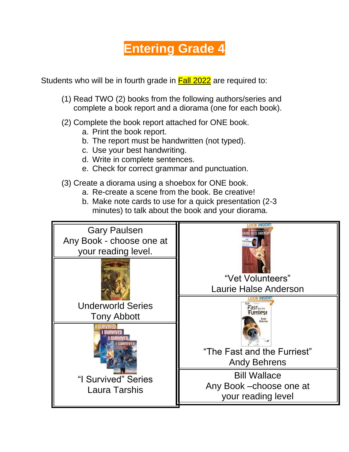## **[Entering](http://www.scholastic.com/bookfairs/teachers/connections/grade3.asp) Grade 4**

Students who will be in fourth grade in **Fall 2022** are required to:

- (1) Read TWO (2) books from the following authors/series and complete a book report and a diorama (one for each book).
- (2) Complete the book report attached for ONE book.
	- a. Print the book report.
	- b. The report must be handwritten (not typed).
	- c. Use your best handwriting.
	- d. Write in complete sentences.
	- e. Check for correct grammar and punctuation.
- (3) Create a diorama using a shoebox for ONE book.
	- a. Re-create a scene from the book. Be creative!
	- b. Make note cards to use for a quick presentation (2-3 minutes) to talk about the book and your diorama.

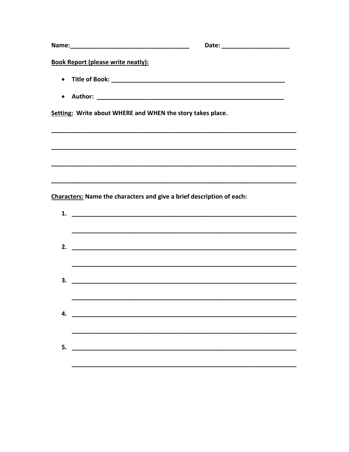|    |                                                                       | Date: ________________________ |
|----|-----------------------------------------------------------------------|--------------------------------|
|    | <b>Book Report (please write neatly):</b>                             |                                |
|    |                                                                       |                                |
|    |                                                                       |                                |
|    | Setting: Write about WHERE and WHEN the story takes place.            |                                |
|    |                                                                       |                                |
|    |                                                                       |                                |
|    |                                                                       |                                |
|    | Characters: Name the characters and give a brief description of each: |                                |
|    |                                                                       |                                |
|    |                                                                       |                                |
| 2. |                                                                       |                                |
|    |                                                                       |                                |
| 3. |                                                                       |                                |
| 4. |                                                                       |                                |
|    |                                                                       |                                |
|    |                                                                       |                                |
|    |                                                                       |                                |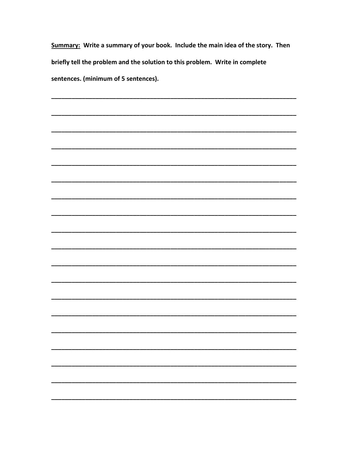Summary: Write a summary of your book. Include the main idea of the story. Then briefly tell the problem and the solution to this problem. Write in complete sentences. (minimum of 5 sentences).